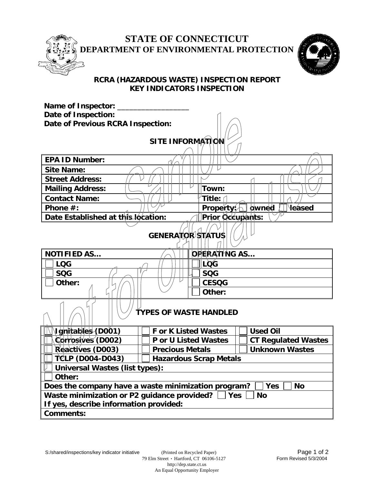

## **STATE OF CONNECTICUT DEPARTMENT OF ENVIRONMENTAL PROTECTION**



### **RCRA (HAZARDOUS WASTE) INSPECTION REPORT KEY INDICATORS INSPECTION**

| <b>Name of Inspector:</b>                                                      |                                                 |                                         |  |  |  |  |  |
|--------------------------------------------------------------------------------|-------------------------------------------------|-----------------------------------------|--|--|--|--|--|
| <b>Date of Inspection:</b>                                                     |                                                 |                                         |  |  |  |  |  |
| Date of Previous RCRA Inspection:                                              |                                                 |                                         |  |  |  |  |  |
|                                                                                |                                                 |                                         |  |  |  |  |  |
| <b>SITE INFORMATION</b>                                                        |                                                 |                                         |  |  |  |  |  |
|                                                                                |                                                 |                                         |  |  |  |  |  |
| <b>EPA ID Number:</b>                                                          |                                                 |                                         |  |  |  |  |  |
| <b>Site Name:</b>                                                              |                                                 |                                         |  |  |  |  |  |
| <b>Street Address:</b>                                                         |                                                 |                                         |  |  |  |  |  |
| <b>Mailing Address:</b>                                                        | Town:                                           |                                         |  |  |  |  |  |
| <b>Contact Name:</b>                                                           | Title:                                          |                                         |  |  |  |  |  |
| Phone $#$ :                                                                    |                                                 | Property: $\Box$ owned<br><b>leased</b> |  |  |  |  |  |
| Date Established at this location:                                             | Prior Occupants:                                |                                         |  |  |  |  |  |
|                                                                                |                                                 |                                         |  |  |  |  |  |
|                                                                                | <b>GENERATOR STATUS</b>                         |                                         |  |  |  |  |  |
|                                                                                |                                                 |                                         |  |  |  |  |  |
| <b>NOTIFIED AS</b>                                                             | <b>OPERATING AS</b>                             |                                         |  |  |  |  |  |
| <b>LQG</b>                                                                     | LÒG                                             |                                         |  |  |  |  |  |
| <b>SQG</b>                                                                     | <b>SQG</b>                                      |                                         |  |  |  |  |  |
| Other:                                                                         | <b>CESQG</b>                                    |                                         |  |  |  |  |  |
|                                                                                | Other:                                          |                                         |  |  |  |  |  |
|                                                                                |                                                 |                                         |  |  |  |  |  |
|                                                                                | <b>TYPES OF WASTE HANDLED</b>                   |                                         |  |  |  |  |  |
|                                                                                |                                                 |                                         |  |  |  |  |  |
| Ighitables (D001)                                                              | <b>For K Listed Wastes</b>                      | <b>Used Oil</b>                         |  |  |  |  |  |
| Corrosives (D002)                                                              | <b>P</b> or U Listed Wastes                     | <b>CT Regulated Wastes</b>              |  |  |  |  |  |
| Reactives (D003)                                                               | <b>Unknown Wastes</b><br><b>Precious Metals</b> |                                         |  |  |  |  |  |
| TCLP (D004-D043)<br><b>Hazardous Scrap Metals</b>                              |                                                 |                                         |  |  |  |  |  |
| <b>Universal Wastes (list types):</b>                                          |                                                 |                                         |  |  |  |  |  |
| Other:                                                                         |                                                 |                                         |  |  |  |  |  |
| Does the company have a waste minimization program?<br><b>No</b><br><b>Yes</b> |                                                 |                                         |  |  |  |  |  |
| Waste minimization or P2 guidance provided?  <br><b>No</b><br> Yes             |                                                 |                                         |  |  |  |  |  |
| If yes, describe information provided:                                         |                                                 |                                         |  |  |  |  |  |
| <b>Comments:</b>                                                               |                                                 |                                         |  |  |  |  |  |

An Equal Opportunity Employer